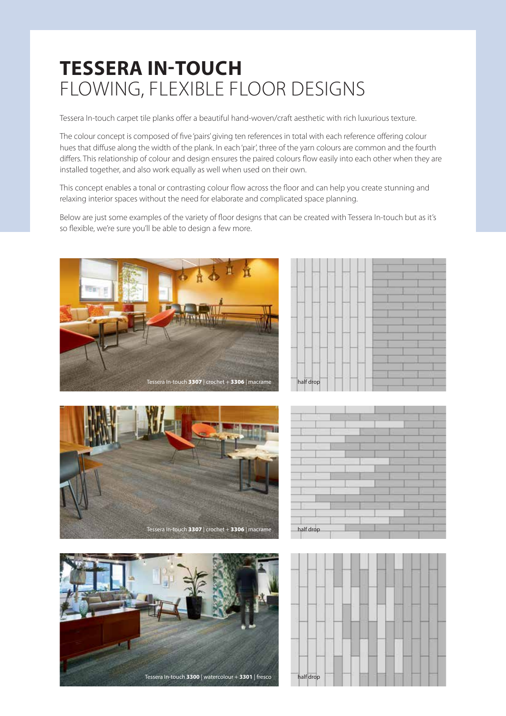## **Tessera In-touch** flowing, flexible floor designs

Tessera In-touch carpet tile planks offer a beautiful hand-woven/craft aesthetic with rich luxurious texture.

The colour concept is composed of five 'pairs' giving ten references in total with each reference offering colour hues that diffuse along the width of the plank. In each 'pair', three of the yarn colours are common and the fourth differs. This relationship of colour and design ensures the paired colours flow easily into each other when they are installed together, and also work equally as well when used on their own.

This concept enables a tonal or contrasting colour flow across the floor and can help you create stunning and relaxing interior spaces without the need for elaborate and complicated space planning.

Below are just some examples of the variety of floor designs that can be created with Tessera In-touch but as it's so flexible, we're sure you'll be able to design a few more.







|           | ٠ |  |  |
|-----------|---|--|--|
|           |   |  |  |
|           |   |  |  |
|           |   |  |  |
|           |   |  |  |
|           |   |  |  |
|           |   |  |  |
|           |   |  |  |
|           |   |  |  |
| half drop |   |  |  |